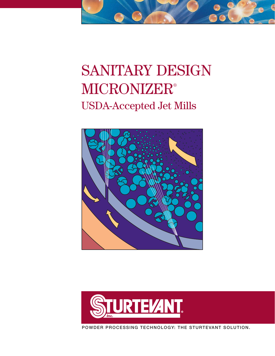# SANITARY DESIGN **MICRONIZER®** USDA-Accepted Jet Mills





**POWDER PROCESSING TECHNOLOGY: THE STURTEVANT SOLUTION.**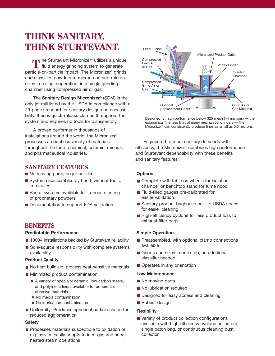# **THINK SANITARY. THINK STURTEVANT.**

The Sturtevant Micronizer<sup>®</sup> utilizes a unique<br> **T** fluid energy grinding system to generate fluid energy grinding system to generate particle-on-particle impact. The Micronizer® grinds and classifies powders to micron and sub-micron sizes in a single operation, in a single grinding chamber using compressed air or gas.

The **Sanitary Design Micronizer®** (SDM) is the only jet mill listed by the USDA in compliance with a 29-page standard for sanitary design and accessibility. It uses quick-release clamps throughout the system and requires no tools for disassembly.

A proven performer in thousands of installations around the world, the Micronizer® processes a countless variety of materials throughout the food, chemical, ceramic, mineral, and pharmaceutical industries.

# **SANITARY FEATURES**

- No moving parts, no jet nozzles
- System disassembles by hand, without tools, in minutes
- Rental systems available for in-house testing of proprietary powders
- Documentation to support FDA validation

# **BENEFITS**

### **Predictable Performance**

- 1000+ installations backed by Sturtevant reliability
- Sole-source responsibility with complete systems availability

#### **Product Quality**

- No heat build-up: process heat-sensitive materials
- **Minimized product contamination:** 
	- A variety of specialty ceramic, low carbon steels, and polymeric liners available for adherent or abrasive materials
	- No media contamination
	- No lubrication contamination
- **Uniformity: Produces spherical particle shape for** reduced agglomeration

### **Safety**

**Processes materials susceptible to oxidation or** explosivity: easily adapts to inert gas and superheated steam operations



Designed for high performance below 325 mesh (44 microns) — the economical fineness limit of many mechanical grinders — the Micronizer® can consistently produce fines as small as 0.5 microns.

Engineered to meet sanitary demands with efficiency, the Micronizer® combines high performance and Sturtevant dependability with these benefits and sanitary features:

#### **Options**

- Complete with table on wheels for isolation chamber or benchtop stand for fume hood
- **Fluid-filled gauges pre-calibrated for** easier validation
- Sanitary product baghouse built to USDA specs for easier cleaning
- High-efficiency cyclone for less product loss to exhaust filter bags

### **Simple Operation**

- Preassembled, with optional clamp connections available
- Grinds and sizes in one step; no additional classifier needed
- Operates in any orientation

#### **Low Maintenance**

- No moving parts
- No lubrication required
- Designed for easy access and cleaning
- Robust design

### **Flexibility**

■ Variety of product collection configurations available with high-efficiency cyclone collectors, single batch bag, or continuous cleaning dust collector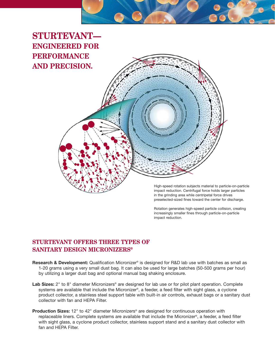

**STURTEVANT— ENGINEERED FOR PERFORMANCE AND PRECISION.**

> High-speed rotation subjects material to particle-on-particle impact reduction. Centrifugal force holds larger particles in the grinding area while centripetal force drives preselected-sized fines toward the center for discharge.

Rotation generates high-speed particle collision, creating increasingly smaller fines through particle-on-particle impact reduction.

# **STURTEVANT OFFERS THREE TYPES OF SANITARY DESIGN MICRONIZERS®**

- **Research & Development:** Qualification Micronizer® is designed for R&D lab use with batches as small as 1-20 grams using a very small dust bag. It can also be used for large batches (50-500 grams per hour) by utilizing a larger dust bag and optional manual bag shaking enclosure.
- Lab Sizes: 2" to 8" diameter Micronizers<sup>®</sup> are designed for lab use or for pilot plant operation. Complete systems are available that include the Micronizer®, a feeder, a feed filter with sight glass, a cyclone product collector, a stainless steel support table with built-in air controls, exhaust bags or a sanitary dust collector with fan and HEPA Filter.
- **Production Sizes:** 12" to 42" diameter Micronizers® are designed for continuous operation with replaceable liners. Complete systems are available that include the Micronizer®, a feeder, a feed filter with sight glass, a cyclone product collector, stainless support stand and a sanitary dust collector with fan and HEPA Filter.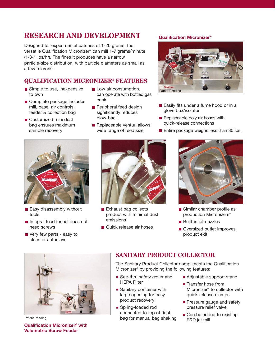# **RESEARCH AND DEVELOPMENT**

Designed for experimental batches of 1-20 grams, the versatile Qualification Micronizer® can mill 1-7 grams/minute (1/8-1 lbs/hr). The fines it produces have a narrow particle-size distribution, with particle diameters as small as a few microns.

# **QUALIFICATION MICRONIZER® FEATURES**

- Simple to use, inexpensive to own
- Complete package includes mill, base, air controls, feeder & collection bag
- Customized mini dust bag ensures maximum sample recovery
- **L** Low air consumption, can operate with bottled gas or air
- Peripheral feed design significantly reduces blow-back
- $\blacksquare$  Replaceable venturi allows wide range of feed size

# **Qualification Micronizer®**



- Easily fits under a fume hood or in a glove box/isolator
- Replaceable poly air hoses with quick-release connections
- Entire package weighs less than 30 lbs.



- Easy disassembly without tools
- Integral feed funnel does not need screws
- Very few parts easy to clean or autoclave



- Exhaust bag collects product with minimal dust emissions
- **Quick release air hoses**



- Similar chamber profile as production Micronizers®
- **Built-in jet nozzles**
- Oversized outlet improves product exit



Patent Pending

**Qualification Micronizer® with Volumetric Screw Feeder**

# **SANITARY PRODUCT COLLECTOR**

The Sanitary Product Collector compliments the Qualification Micronizer® by providing the following features:

- See-thru safety cover and HEPA Filter
- **Sanitary container with** large opening for easy product recovery
- Spring-loaded rod connected to top of dust bag for manual bag shaking
- Adjustable support stand
- Transfer hose from Micronizer® to collector with quick-release clamps
- **Pressure gauge and safety** pressure relief valve
- Can be added to existing R&D jet mill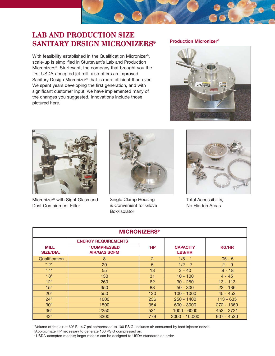# **LAB AND PRODUCTION SIZE SANITARY DESIGN MICRONIZERS®**

With feasibility established in the Qualification Micronizer®, scale-up is simplified in Sturtevant's Lab and Production Micronizers®. Sturtevant, the company that brought you the first USDA-accepted jet mill, also offers an improved Sanitary Design Micronizer® that is more efficient than ever. We spent years developing the first generation, and with significant customer input, we have implemented many of the changes you suggested. Innovations include those pictured here.

# **Production Micronizer®**





Micronizer® with Sight Glass and Dust Containment Filter



Single Clamp Housing is Convenient for Glove Box/Isolator



Total Accessibility, No Hidden Areas

| <b>MICRONIZERS<sup>®</sup></b>  |                                           |                |                                  |              |  |  |  |
|---------------------------------|-------------------------------------------|----------------|----------------------------------|--------------|--|--|--|
|                                 | <b>ENERGY REQUIREMENTS</b>                |                |                                  |              |  |  |  |
| <b>MILL</b><br><b>SIZE/DIA.</b> | <b>'COMPRESSED</b><br><b>AIR/GAS SCFM</b> | $^2$ HP        | <b>CAPACITY</b><br><b>LBS/HR</b> | <b>KG/HR</b> |  |  |  |
| Qualification                   | 8                                         | $\overline{2}$ | $1/8 - 1$                        | $.05 - .5$   |  |  |  |
| $*2"$                           | 20                                        | 5 <sup>5</sup> | $1/2 - 2$                        | $.2 - .9$    |  |  |  |
| $*4"$                           | 55                                        | 13             | $2 - 40$                         | $.9 - 18$    |  |  |  |
| $* 8"$                          | 130                                       | 31             | $10 - 100$                       | $4 - 45$     |  |  |  |
| 12"                             | 260                                       | 62             | $30 - 250$                       | $13 - 113$   |  |  |  |
| 15"                             | 350                                       | 83             | $50 - 300$                       | $22 - 136$   |  |  |  |
| 20"                             | 550                                       | 130            | $100 - 1000$                     | $45 - 453$   |  |  |  |
| 24"                             | 1000                                      | 236            | $250 - 1400$                     | $113 - 635$  |  |  |  |
| 30"                             | 1500                                      | 354            | $600 - 3000$                     | 272 - 1360   |  |  |  |
| 36"                             | 2250                                      | 531            | $1000 - 6000$                    | 453 - 2721   |  |  |  |
| 42"                             | 3300                                      | 779            | $2000 - 10,000$                  | $907 - 4536$ |  |  |  |

1 Volume of free air at 60° F, 14.7 psi compressed to 100 PSIG. Includes air consumed by feed injector nozzle.

<sup>2</sup> Approximate HP necessary to generate 100 PSIG compressed air.

\* USDA-accepted models; larger models can be designed to USDA standards on order.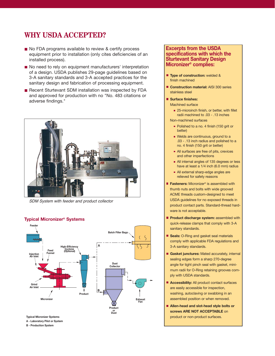# **WHY USDA ACCEPTED?**

- No FDA programs available to review & certify process equipment prior to installation (only cites deficiencies of an installed process).
- No need to rely on equipment manufacturers' interpretation of a design. USDA publishes 29-page guidelines based on 3-A sanitary standards and 3-A accepted practices for the sanitary design and fabrication of processing equipment.
- Recent Sturtevant SDM installation was inspected by FDA and approved for production with no "No. 483 citations or adverse findings."



SDM System with feeder and product collector



# **Typical Micronizer® Systems**

**A - Laboratory Pilot or System B - Production System**

## **Excerpts from the USDA specifications with which the Sturtevant Sanitary Design Micronizer® complies:**

- **Type of construction:** welded & finish machined
- **Construction material: AISI 300 series** stainless steel
- **Surface finishes:**

Machined surface

■ 25-microinch finish, or better, with fillet radii machined to .03 - .13 inches

Non-machined surfaces

- Polished to a no. 4 finish (150 grit or better)
- Welds are continuous, ground to a .03 - .13 inch radius and polished to a no. 4 finish (150 grit or better)
- All surfaces are free of pits, crevices and other imperfections
- All internal angles of 135 degrees or less have at least a 1/4 inch (6.0 mm) radius
- All external sharp-edge angles are relieved for safety reasons
- Fasteners: Micronizer<sup>®</sup> is assembled with thumb nuts and bolts with wide grooved ACME threads custom-designed to meet USDA guidelines for no exposed threads in product contact parts. Standard-thread hardware is not acceptable.
- **Product discharge system: assembled with** quick-release clamps that comply with 3-A sanitary standards.
- **Seals:** O-Ring and gasket seal materials comply with applicable FDA regulations and 3-A sanitary standards.
- **Gasket junctures:** Mated accurately, internal sealing edges form a sharp 270-degree angle for tight pinch seal with gasket, minimum radii for O-Ring retaining grooves comply with USDA standards.
- **Accessibility:** All product contact surfaces are easily accessible for inspection, washing, autoclaving or swabbing in an assembled position or when removed.
- **Allen-head and slot-head style bolts or screws ARE NOT ACCEPTABLE** on product or non-product surfaces.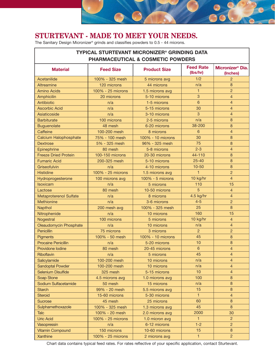# **STURTEVANT - MADE TO MEET YOUR NEEDS.**

The Sanitary Design Micronizer® grinds and classifies powders to 0.5 - 44 microns.

| <b>TYPICAL STURTEVANT MICRONIZER<sup>®</sup> GRINDING DATA</b><br><b>PHARMACEUTICAL &amp; COSMETIC POWDERS</b> |                   |                     |                              |                                          |  |  |
|----------------------------------------------------------------------------------------------------------------|-------------------|---------------------|------------------------------|------------------------------------------|--|--|
| <b>Material</b>                                                                                                | <b>Feed Size</b>  | <b>Product Size</b> | <b>Feed Rate</b><br>(lbs/hr) | Micronizer <sup>®</sup> Dia.<br>(Inches) |  |  |
| Acetanilide                                                                                                    | 100% - 325 mesh   | 5 microns avg       | 1/2                          | $\overline{2}$                           |  |  |
| Altreamine                                                                                                     | 120 microns       | 44 microns          | n/a                          | 8                                        |  |  |
| <b>Amino Acids</b>                                                                                             | 100% - 25 microns | 1.5 microns avg     | 1                            | $\overline{2}$                           |  |  |
| Amphicilin                                                                                                     | 20 microns        | 5-10 microns        | 3                            | $\overline{4}$                           |  |  |
| Antibiotic                                                                                                     | n/a               | 1-5 microns         | 6                            | $\overline{4}$                           |  |  |
| <b>Ascorbic Acid</b>                                                                                           | n/a               | 5-15 microns        | 30                           | $\overline{4}$                           |  |  |
| Asiaticoside                                                                                                   | n/a               | 3-10 microns        | 3                            | $\overline{4}$                           |  |  |
| <b>Barbiturate</b>                                                                                             | 100 microns       | 2-5 microns         | n/a                          | 8                                        |  |  |
| <b>Buguenolate</b>                                                                                             | 48 mesh           | 6-20 microns        | 38-200                       | $\boldsymbol{8}$                         |  |  |
| Caffeine                                                                                                       | 100-200 mesh      | 8 microns           | $6\phantom{1}6$              | $\overline{4}$                           |  |  |
| <b>Calcium Halophosphate</b>                                                                                   | 75% - 100 mesh    | 100% - 10 microns   | 30                           | $\boldsymbol{8}$                         |  |  |
| <b>Dextrose</b>                                                                                                | 5% - 325 mesh     | 96% - 325 mesh      | 75                           | $\boldsymbol{8}$                         |  |  |
| Epinephrine                                                                                                    | 80 mesh           | 5-8 microns         | $2 - 3$                      | $\overline{4}$                           |  |  |
| <b>Freeze Dried Protein</b>                                                                                    | 100-150 microns   | 20-30 microns       | 44-110                       | 8                                        |  |  |
| <b>Fumaric Acid</b>                                                                                            | 200-325 mesh      | 5-10 microns        | $25 - 40$                    | $\boldsymbol{8}$                         |  |  |
| Griseofulvin                                                                                                   | n/a               | 4-10 microns        | $10 - 50$                    | $\boldsymbol{8}$                         |  |  |
| <b>Histidine</b>                                                                                               | 100% - 25 microns | 1.5 microns avg     | $\mathbf{1}$                 | $\overline{2}$                           |  |  |
| Hydroprogesterone                                                                                              | 100 microns avg   | 100% - 5 microns    | 10 kg/hr                     | $\overline{4}$                           |  |  |
| Isoxicam                                                                                                       | n/a               | 5 microns           | 110                          | 15                                       |  |  |
| Lactose                                                                                                        | 80 mesh           | 10-50 microns       | 5                            | $\overline{4}$                           |  |  |
| <b>Metaproterenol Sulfate</b>                                                                                  | n/a               | 8 microns           | 4.5 kg/hr                    | $\overline{4}$                           |  |  |
| Methionine                                                                                                     | n/a               | 3-6 microns         | $4 - 5$                      | $\overline{c}$                           |  |  |
| Napthol                                                                                                        | 200 mesh avg      | 100% - 325 mesh     | 25                           | 8                                        |  |  |
| Nitrophenide                                                                                                   | n/a               | 10 microns          | 160                          | 15                                       |  |  |
| Nogestral                                                                                                      | 100 microns       | 5 microns           | 10 kg/hr                     | $\overline{4}$                           |  |  |
| Oleaudomycin Phosphate                                                                                         | n/a               | 10 microns          | n/a                          | $\overline{4}$                           |  |  |
| Penicillin                                                                                                     | 75 microns        | 3 microns           | $\overline{2}$               | $\overline{2}$                           |  |  |
| Pigments                                                                                                       | 100% - 50 mesh    | 100% - 10 microns   | 45                           | $\boldsymbol{8}$                         |  |  |
| <b>Procaine Penicillin</b>                                                                                     | n/a               | 5-20 microns        | 10                           | $\bf 8$                                  |  |  |
| Providone lodine                                                                                               | 80 mesh           | 20-45 microns       | $\,$ 6 $\,$                  | $\overline{4}$                           |  |  |
| Riboflavin                                                                                                     | n/a               | 5 microns           | 45                           | $\overline{4}$                           |  |  |
| Salicylamide                                                                                                   | 100-200 mesh      | 10 microns          | n/a                          | $\overline{4}$                           |  |  |
| <b>Sandoptal Powder</b>                                                                                        | 100-200 mesh      | 10 microns          | n/a                          | $\overline{4}$                           |  |  |
| <b>Selenium Disulfide</b>                                                                                      | 325 mesh          | 5-15 microns        | 10                           | $\overline{4}$                           |  |  |
| Soap Stone                                                                                                     | 4.5 microns avg   | 1.0 microns avg     | 100                          | 8                                        |  |  |
| Sodium Sulfacetamide                                                                                           | 50 mesh           | 15 microns          | n/a                          | $\bf 8$                                  |  |  |
| <b>Starch</b>                                                                                                  | 99% - 20 mesh     | 5.5 microns avg     | 15                           | $\bf 8$                                  |  |  |
| <b>Steroid</b>                                                                                                 | 15-60 microns     | 5-30 microns        | 1                            | $\overline{4}$                           |  |  |
| <b>Sucrose</b>                                                                                                 | 45 mesh           | 25 microns          | 60                           | $\bf 8$                                  |  |  |
| Sulpharnethoxazole                                                                                             | 100% - 325 mesh   | 1.3 microns avg     | 45                           | 8                                        |  |  |
| <b>Talc</b>                                                                                                    | 100% - 20 mesh    | 2.0 microns avg     | 2000                         | 30                                       |  |  |
| <b>Uric Acid</b>                                                                                               | 100% - 25 microns | 1.0 micron avg      | $\mathbf{1}$                 | $\overline{2}$                           |  |  |
| Vasopressin                                                                                                    | n/a               | 6-12 microns        | $1 - 2$                      | $\overline{2}$                           |  |  |
| <b>Vitamin Compound</b>                                                                                        | 150 microns       | 10-60 microns       | 15                           | 8                                        |  |  |
| Xanthine                                                                                                       | 100% - 25 microns | 2 microns avg       | 1 <sup>1</sup>               | $\overline{2}$                           |  |  |
|                                                                                                                |                   |                     |                              |                                          |  |  |

Chart data contains typical feed rates. For rates reflective of your specific application, contact Sturtevant.